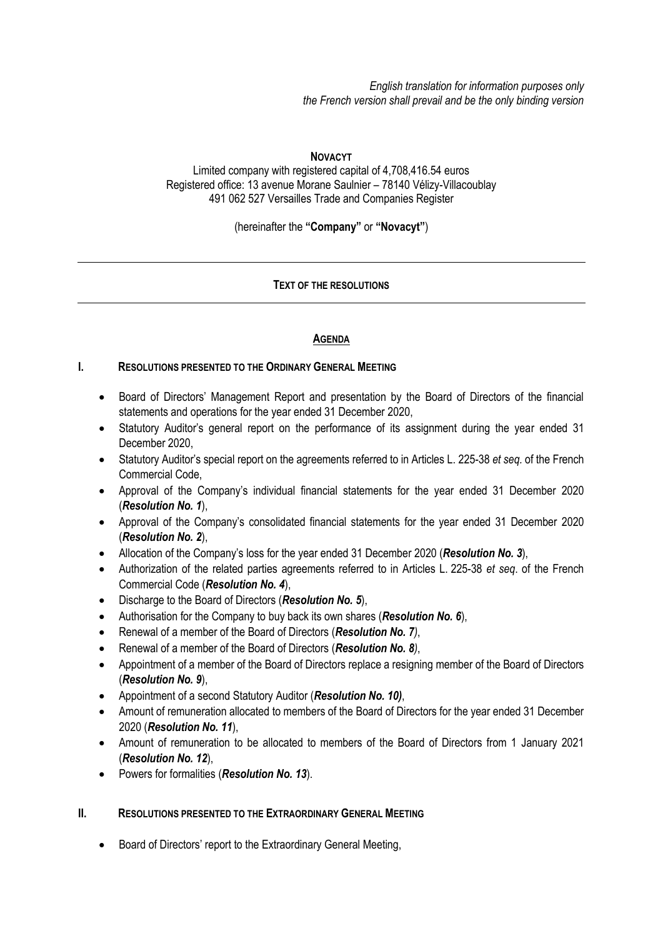*English translation for information purposes only the French version shall prevail and be the only binding version*

#### **NOVACYT**

Limited company with registered capital of 4,708,416.54 euros Registered office: 13 avenue Morane Saulnier – 78140 Vélizy-Villacoublay 491 062 527 Versailles Trade and Companies Register

(hereinafter the **"Company"** or **"Novacyt"**)

# **TEXT OF THE RESOLUTIONS**

# **AGENDA**

# **I. RESOLUTIONS PRESENTED TO THE ORDINARY GENERAL MEETING**

- Board of Directors' Management Report and presentation by the Board of Directors of the financial statements and operations for the year ended 31 December 2020,
- Statutory Auditor's general report on the performance of its assignment during the year ended 31 December 2020,
- Statutory Auditor's special report on the agreements referred to in Articles L. 225-38 *et seq.* of the French Commercial Code,
- Approval of the Company's individual financial statements for the year ended 31 December 2020 (*Resolution No. 1*),
- Approval of the Company's consolidated financial statements for the year ended 31 December 2020 (*Resolution No. 2*),
- Allocation of the Company's loss for the year ended 31 December 2020 (*Resolution No. 3*),
- Authorization of the related parties agreements referred to in Articles L. 225-38 *et seq*. of the French Commercial Code (*Resolution No. 4*),
- Discharge to the Board of Directors (*Resolution No. 5*),
- Authorisation for the Company to buy back its own shares (*Resolution No. 6*),
- Renewal of a member of the Board of Directors (*Resolution No. 7)*,
- Renewal of a member of the Board of Directors (*Resolution No. 8)*,
- Appointment of a member of the Board of Directors replace a resigning member of the Board of Directors (*Resolution No. 9*),
- Appointment of a second Statutory Auditor (*Resolution No. 10)*,
- Amount of remuneration allocated to members of the Board of Directors for the year ended 31 December 2020 (*Resolution No. 11*),
- Amount of remuneration to be allocated to members of the Board of Directors from 1 January 2021 (*Resolution No. 12*),
- Powers for formalities (*Resolution No. 13*).

#### **II. RESOLUTIONS PRESENTED TO THE EXTRAORDINARY GENERAL MEETING**

• Board of Directors' report to the Extraordinary General Meeting,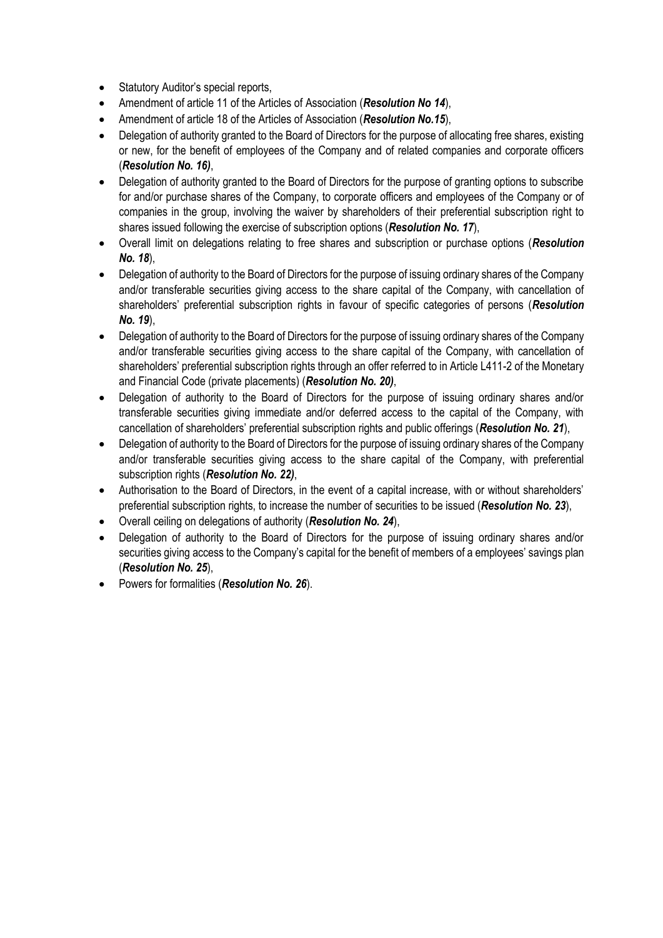- Statutory Auditor's special reports,
- Amendment of article 11 of the Articles of Association (*Resolution No 14*),
- Amendment of article 18 of the Articles of Association (*Resolution No.15*),
- Delegation of authority granted to the Board of Directors for the purpose of allocating free shares, existing or new, for the benefit of employees of the Company and of related companies and corporate officers (*Resolution No. 16)*,
- Delegation of authority granted to the Board of Directors for the purpose of granting options to subscribe for and/or purchase shares of the Company, to corporate officers and employees of the Company or of companies in the group, involving the waiver by shareholders of their preferential subscription right to shares issued following the exercise of subscription options (*Resolution No. 17*),
- Overall limit on delegations relating to free shares and subscription or purchase options (*Resolution No. 18*),
- Delegation of authority to the Board of Directors for the purpose of issuing ordinary shares of the Company and/or transferable securities giving access to the share capital of the Company, with cancellation of shareholders' preferential subscription rights in favour of specific categories of persons (*Resolution No. 19*),
- Delegation of authority to the Board of Directors for the purpose of issuing ordinary shares of the Company and/or transferable securities giving access to the share capital of the Company, with cancellation of shareholders' preferential subscription rights through an offer referred to in Article L411-2 of the Monetary and Financial Code (private placements) (*Resolution No. 20)*,
- Delegation of authority to the Board of Directors for the purpose of issuing ordinary shares and/or transferable securities giving immediate and/or deferred access to the capital of the Company, with cancellation of shareholders' preferential subscription rights and public offerings (*Resolution No. 21*),
- Delegation of authority to the Board of Directors for the purpose of issuing ordinary shares of the Company and/or transferable securities giving access to the share capital of the Company, with preferential subscription rights (*Resolution No. 22)*,
- Authorisation to the Board of Directors, in the event of a capital increase, with or without shareholders' preferential subscription rights, to increase the number of securities to be issued (*Resolution No. 23*),
- Overall ceiling on delegations of authority (*Resolution No. 24*),
- Delegation of authority to the Board of Directors for the purpose of issuing ordinary shares and/or securities giving access to the Company's capital for the benefit of members of a employees' savings plan (*Resolution No. 25*),
- Powers for formalities (*Resolution No. 26*).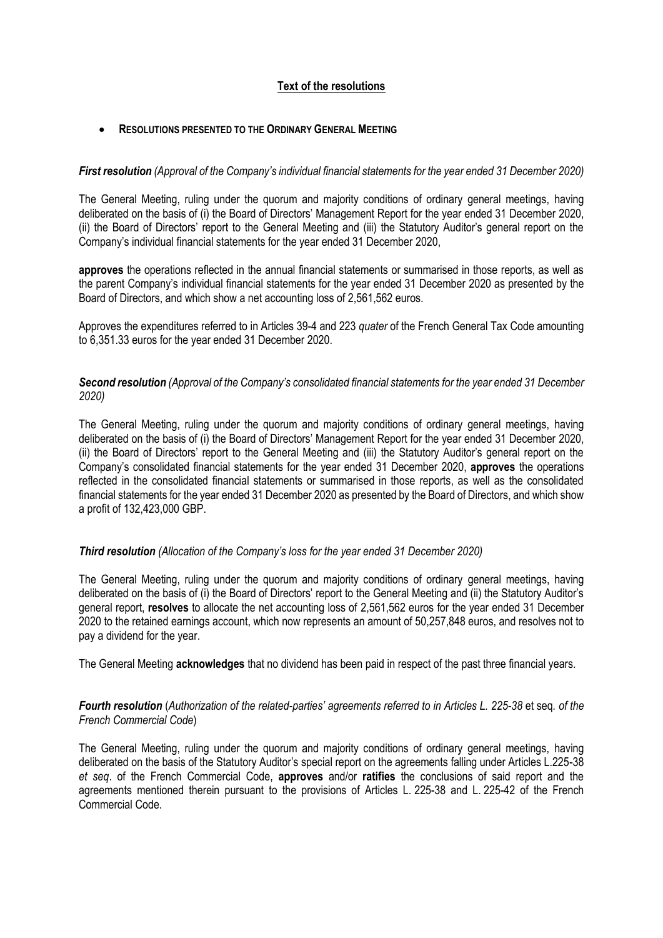# **Text of the resolutions**

#### • **RESOLUTIONS PRESENTED TO THE ORDINARY GENERAL MEETING**

#### *First resolution (Approval of the Company's individual financial statements for the year ended 31 December 2020)*

The General Meeting, ruling under the quorum and majority conditions of ordinary general meetings, having deliberated on the basis of (i) the Board of Directors' Management Report for the year ended 31 December 2020, (ii) the Board of Directors' report to the General Meeting and (iii) the Statutory Auditor's general report on the Company's individual financial statements for the year ended 31 December 2020,

**approves** the operations reflected in the annual financial statements or summarised in those reports, as well as the parent Company's individual financial statements for the year ended 31 December 2020 as presented by the Board of Directors, and which show a net accounting loss of 2,561,562 euros.

Approves the expenditures referred to in Articles 39-4 and 223 *quater* of the French General Tax Code amounting to 6,351.33 euros for the year ended 31 December 2020.

# *Second resolution (Approval of the Company's consolidated financial statements for the year ended 31 December 2020)*

The General Meeting, ruling under the quorum and majority conditions of ordinary general meetings, having deliberated on the basis of (i) the Board of Directors' Management Report for the year ended 31 December 2020, (ii) the Board of Directors' report to the General Meeting and (iii) the Statutory Auditor's general report on the Company's consolidated financial statements for the year ended 31 December 2020, **approves** the operations reflected in the consolidated financial statements or summarised in those reports, as well as the consolidated financial statements for the year ended 31 December 2020 as presented by the Board of Directors, and which show a profit of 132,423,000 GBP.

#### *Third resolution (Allocation of the Company's loss for the year ended 31 December 2020)*

The General Meeting, ruling under the quorum and majority conditions of ordinary general meetings, having deliberated on the basis of (i) the Board of Directors' report to the General Meeting and (ii) the Statutory Auditor's general report, **resolves** to allocate the net accounting loss of 2,561,562 euros for the year ended 31 December 2020 to the retained earnings account, which now represents an amount of 50,257,848 euros, and resolves not to pay a dividend for the year.

The General Meeting **acknowledges** that no dividend has been paid in respect of the past three financial years.

# *Fourth resolution* (*Authorization of the related-parties' agreements referred to in Articles L. 225-38* et seq*. of the French Commercial Code*)

The General Meeting, ruling under the quorum and majority conditions of ordinary general meetings, having deliberated on the basis of the Statutory Auditor's special report on the agreements falling under Articles L.225-38 *et seq*. of the French Commercial Code, **approves** and/or **ratifies** the conclusions of said report and the agreements mentioned therein pursuant to the provisions of Articles L. 225-38 and L. 225-42 of the French Commercial Code.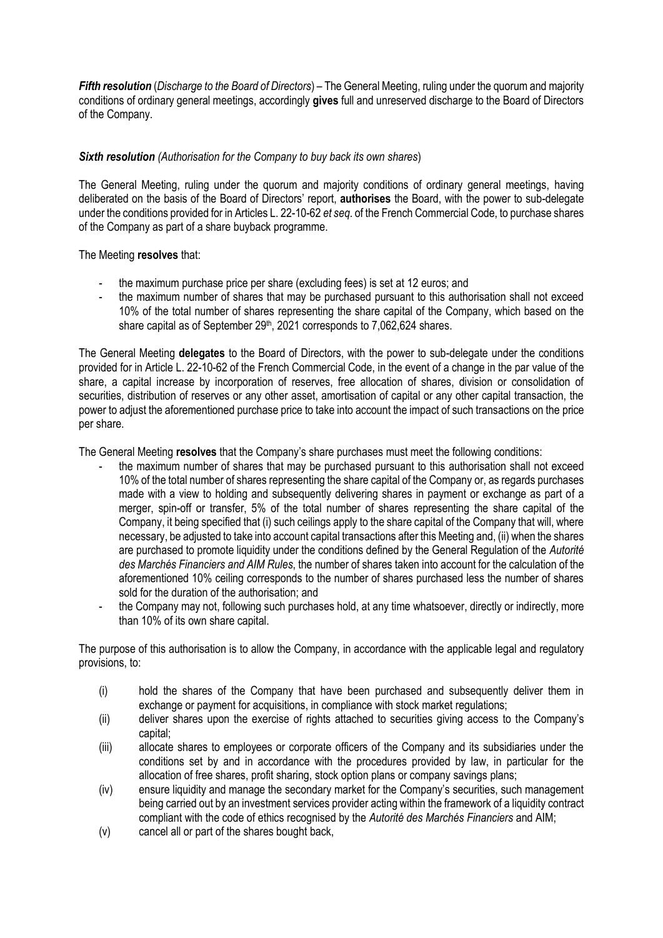*Fifth resolution* (*Discharge to the Board of Directors*) – The General Meeting, ruling under the quorum and majority conditions of ordinary general meetings, accordingly **gives** full and unreserved discharge to the Board of Directors of the Company.

# *Sixth resolution (Authorisation for the Company to buy back its own shares*)

The General Meeting, ruling under the quorum and majority conditions of ordinary general meetings, having deliberated on the basis of the Board of Directors' report, **authorises** the Board, with the power to sub-delegate under the conditions provided for in Articles L. 22-10-62 *et seq*. of the French Commercial Code, to purchase shares of the Company as part of a share buyback programme.

# The Meeting **resolves** that:

- the maximum purchase price per share (excluding fees) is set at 12 euros; and
- the maximum number of shares that may be purchased pursuant to this authorisation shall not exceed 10% of the total number of shares representing the share capital of the Company, which based on the share capital as of September 29<sup>th</sup>, 2021 corresponds to 7,062,624 shares.

The General Meeting **delegates** to the Board of Directors, with the power to sub-delegate under the conditions provided for in Article L. 22-10-62 of the French Commercial Code, in the event of a change in the par value of the share, a capital increase by incorporation of reserves, free allocation of shares, division or consolidation of securities, distribution of reserves or any other asset, amortisation of capital or any other capital transaction, the power to adjust the aforementioned purchase price to take into account the impact of such transactions on the price per share.

The General Meeting **resolves** that the Company's share purchases must meet the following conditions:

- the maximum number of shares that may be purchased pursuant to this authorisation shall not exceed 10% of the total number of shares representing the share capital of the Company or, as regards purchases made with a view to holding and subsequently delivering shares in payment or exchange as part of a merger, spin-off or transfer, 5% of the total number of shares representing the share capital of the Company, it being specified that (i) such ceilings apply to the share capital of the Company that will, where necessary, be adjusted to take into account capital transactions after this Meeting and, (ii) when the shares are purchased to promote liquidity under the conditions defined by the General Regulation of the *Autorité des Marchés Financiers and AIM Rules*, the number of shares taken into account for the calculation of the aforementioned 10% ceiling corresponds to the number of shares purchased less the number of shares sold for the duration of the authorisation; and
- the Company may not, following such purchases hold, at any time whatsoever, directly or indirectly, more than 10% of its own share capital.

The purpose of this authorisation is to allow the Company, in accordance with the applicable legal and regulatory provisions, to:

- (i) hold the shares of the Company that have been purchased and subsequently deliver them in exchange or payment for acquisitions, in compliance with stock market regulations;
- (ii) deliver shares upon the exercise of rights attached to securities giving access to the Company's capital;
- (iii) allocate shares to employees or corporate officers of the Company and its subsidiaries under the conditions set by and in accordance with the procedures provided by law, in particular for the allocation of free shares, profit sharing, stock option plans or company savings plans;
- (iv) ensure liquidity and manage the secondary market for the Company's securities, such management being carried out by an investment services provider acting within the framework of a liquidity contract compliant with the code of ethics recognised by the *Autorité des Marchés Financiers* and AIM;
- (v) cancel all or part of the shares bought back,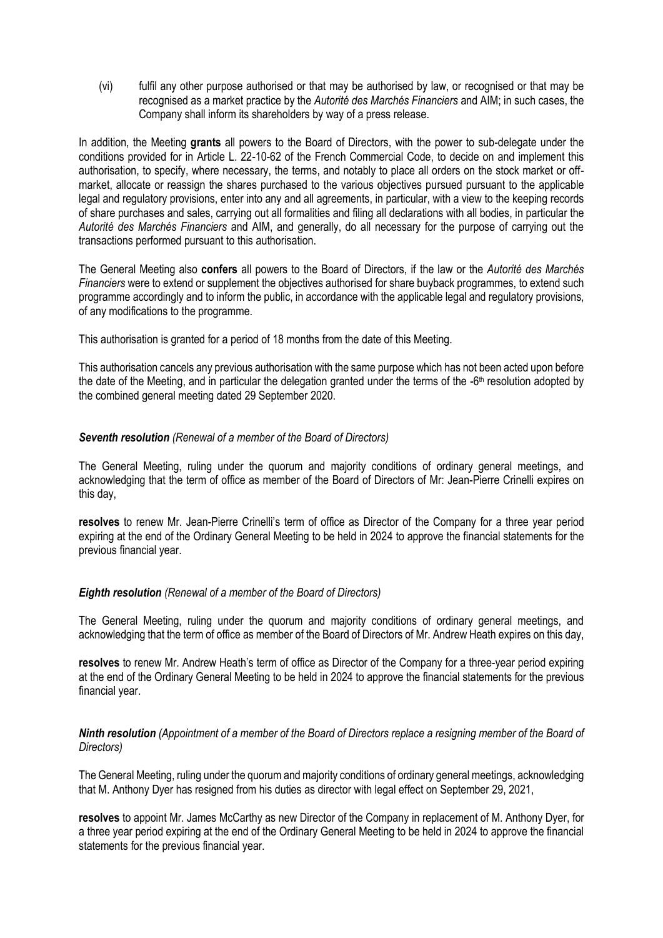(vi) fulfil any other purpose authorised or that may be authorised by law, or recognised or that may be recognised as a market practice by the *Autorité des Marchés Financiers* and AIM; in such cases, the Company shall inform its shareholders by way of a press release.

In addition, the Meeting **grants** all powers to the Board of Directors, with the power to sub-delegate under the conditions provided for in Article L. 22-10-62 of the French Commercial Code, to decide on and implement this authorisation, to specify, where necessary, the terms, and notably to place all orders on the stock market or offmarket, allocate or reassign the shares purchased to the various objectives pursued pursuant to the applicable legal and regulatory provisions, enter into any and all agreements, in particular, with a view to the keeping records of share purchases and sales, carrying out all formalities and filing all declarations with all bodies, in particular the *Autorité des Marchés Financiers* and AIM, and generally, do all necessary for the purpose of carrying out the transactions performed pursuant to this authorisation.

The General Meeting also **confers** all powers to the Board of Directors, if the law or the *Autorité des Marchés Financiers* were to extend or supplement the objectives authorised for share buyback programmes, to extend such programme accordingly and to inform the public, in accordance with the applicable legal and regulatory provisions, of any modifications to the programme.

This authorisation is granted for a period of 18 months from the date of this Meeting.

This authorisation cancels any previous authorisation with the same purpose which has not been acted upon before the date of the Meeting, and in particular the delegation granted under the terms of the -6<sup>th</sup> resolution adopted by the combined general meeting dated 29 September 2020.

# *Seventh resolution (Renewal of a member of the Board of Directors)*

The General Meeting, ruling under the quorum and majority conditions of ordinary general meetings, and acknowledging that the term of office as member of the Board of Directors of Mr: Jean-Pierre Crinelli expires on this day,

**resolves** to renew Mr. Jean-Pierre Crinelli's term of office as Director of the Company for a three year period expiring at the end of the Ordinary General Meeting to be held in 2024 to approve the financial statements for the previous financial year.

#### *Eighth resolution (Renewal of a member of the Board of Directors)*

The General Meeting, ruling under the quorum and majority conditions of ordinary general meetings, and acknowledging that the term of office as member of the Board of Directors of Mr. Andrew Heath expires on this day,

**resolves** to renew Mr. Andrew Heath's term of office as Director of the Company for a three-year period expiring at the end of the Ordinary General Meeting to be held in 2024 to approve the financial statements for the previous financial year.

# *Ninth resolution (Appointment of a member of the Board of Directors replace a resigning member of the Board of Directors)*

The General Meeting, ruling under the quorum and majority conditions of ordinary general meetings, acknowledging that M. Anthony Dyer has resigned from his duties as director with legal effect on September 29, 2021,

**resolves** to appoint Mr. James McCarthy as new Director of the Company in replacement of M. Anthony Dyer, for a three year period expiring at the end of the Ordinary General Meeting to be held in 2024 to approve the financial statements for the previous financial year.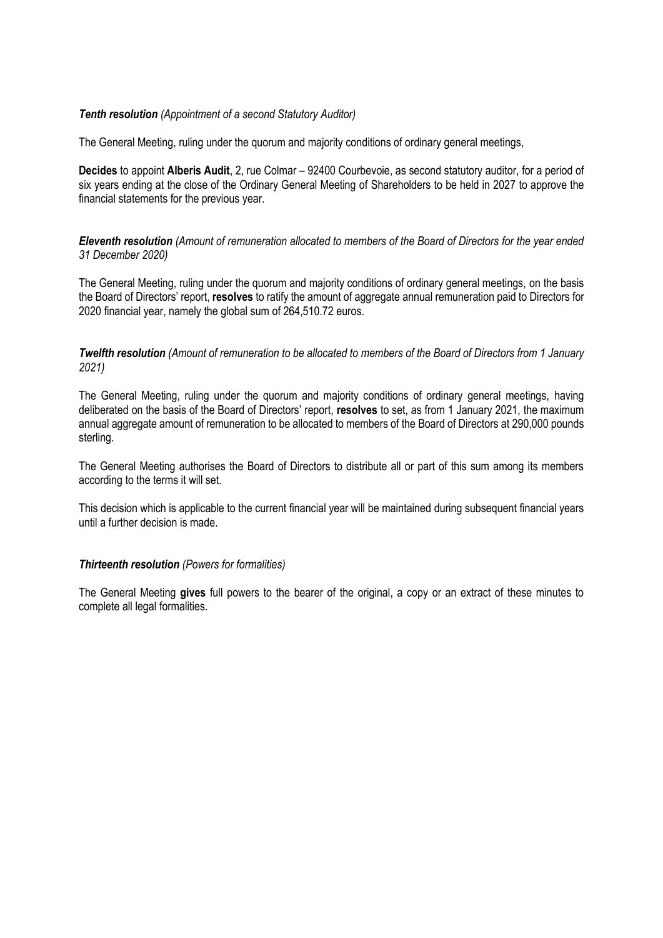## *Tenth resolution (Appointment of a second Statutory Auditor)*

The General Meeting, ruling under the quorum and majority conditions of ordinary general meetings,

**Decides** to appoint **Alberis Audit**, 2, rue Colmar – 92400 Courbevoie, as second statutory auditor, for a period of six years ending at the close of the Ordinary General Meeting of Shareholders to be held in 2027 to approve the financial statements for the previous year.

*Eleventh resolution (Amount of remuneration allocated to members of the Board of Directors for the year ended 31 December 2020)*

The General Meeting, ruling under the quorum and majority conditions of ordinary general meetings, on the basis the Board of Directors' report, **resolves** to ratify the amount of aggregate annual remuneration paid to Directors for 2020 financial year, namely the global sum of 264,510.72 euros.

*Twelfth resolution (Amount of remuneration to be allocated to members of the Board of Directors from 1 January 2021)*

The General Meeting, ruling under the quorum and majority conditions of ordinary general meetings, having deliberated on the basis of the Board of Directors' report, **resolves** to set, as from 1 January 2021, the maximum annual aggregate amount of remuneration to be allocated to members of the Board of Directors at 290,000 pounds sterling.

The General Meeting authorises the Board of Directors to distribute all or part of this sum among its members according to the terms it will set.

This decision which is applicable to the current financial year will be maintained during subsequent financial years until a further decision is made.

#### *Thirteenth resolution (Powers for formalities)*

The General Meeting **gives** full powers to the bearer of the original, a copy or an extract of these minutes to complete all legal formalities.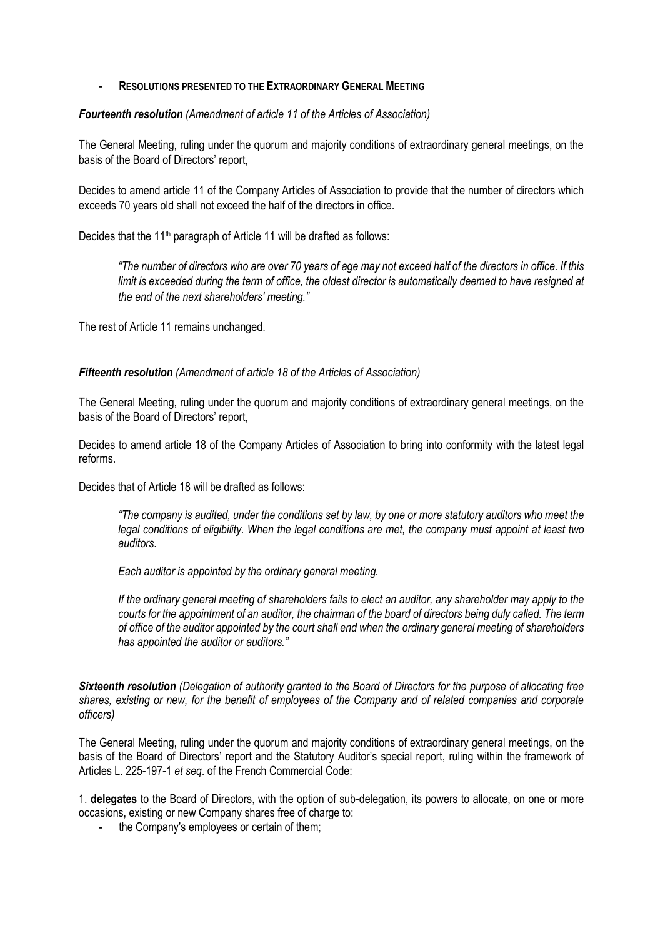#### - **RESOLUTIONS PRESENTED TO THE EXTRAORDINARY GENERAL MEETING**

*Fourteenth resolution (Amendment of article 11 of the Articles of Association)*

The General Meeting, ruling under the quorum and majority conditions of extraordinary general meetings, on the basis of the Board of Directors' report,

Decides to amend article 11 of the Company Articles of Association to provide that the number of directors which exceeds 70 years old shall not exceed the half of the directors in office.

Decides that the 11<sup>th</sup> paragraph of Article 11 will be drafted as follows:

*"The number of directors who are over 70 years of age may not exceed half of the directors in office. If this limit is exceeded during the term of office, the oldest director is automatically deemed to have resigned at the end of the next shareholders' meeting."*

The rest of Article 11 remains unchanged.

*Fifteenth resolution (Amendment of article 18 of the Articles of Association)*

The General Meeting, ruling under the quorum and majority conditions of extraordinary general meetings, on the basis of the Board of Directors' report,

Decides to amend article 18 of the Company Articles of Association to bring into conformity with the latest legal reforms.

Decides that of Article 18 will be drafted as follows:

*"The company is audited, under the conditions set by law, by one or more statutory auditors who meet the legal conditions of eligibility. When the legal conditions are met, the company must appoint at least two auditors.*

*Each auditor is appointed by the ordinary general meeting.*

*If the ordinary general meeting of shareholders fails to elect an auditor, any shareholder may apply to the courts for the appointment of an auditor, the chairman of the board of directors being duly called. The term of office of the auditor appointed by the court shall end when the ordinary general meeting of shareholders has appointed the auditor or auditors."*

*Sixteenth resolution (Delegation of authority granted to the Board of Directors for the purpose of allocating free shares, existing or new, for the benefit of employees of the Company and of related companies and corporate officers)*

The General Meeting, ruling under the quorum and majority conditions of extraordinary general meetings, on the basis of the Board of Directors' report and the Statutory Auditor's special report, ruling within the framework of Articles L. 225-197-1 *et seq*. of the French Commercial Code:

1. **delegates** to the Board of Directors, with the option of sub-delegation, its powers to allocate, on one or more occasions, existing or new Company shares free of charge to:

- the Company's employees or certain of them;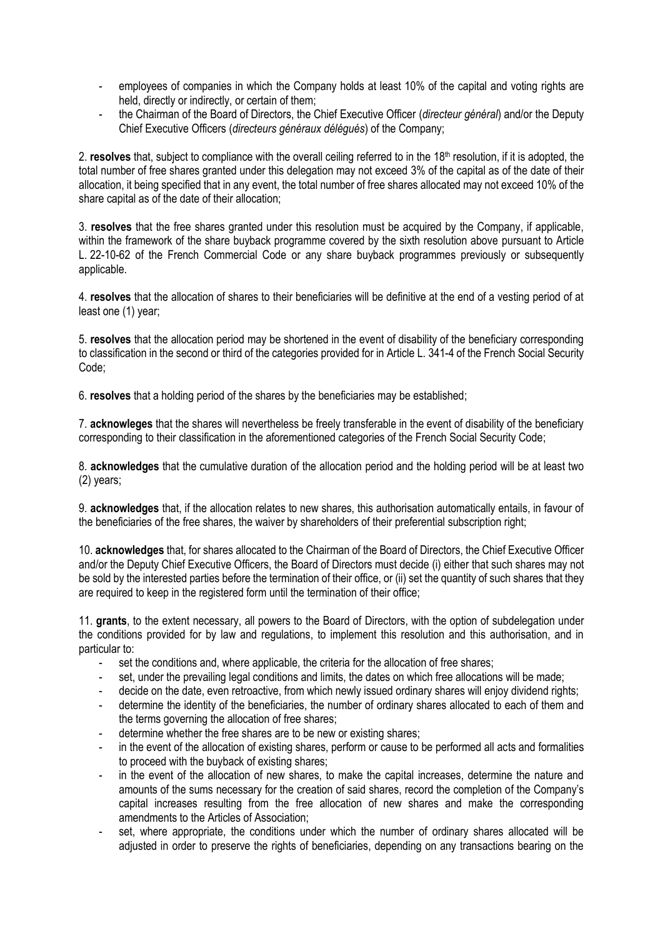- employees of companies in which the Company holds at least 10% of the capital and voting rights are held, directly or indirectly, or certain of them;
- the Chairman of the Board of Directors, the Chief Executive Officer (*directeur général*) and/or the Deputy Chief Executive Officers (*directeurs généraux délégués*) of the Company;

2. **resolves** that, subject to compliance with the overall ceiling referred to in the 18<sup>th</sup> resolution, if it is adopted, the total number of free shares granted under this delegation may not exceed 3% of the capital as of the date of their allocation, it being specified that in any event, the total number of free shares allocated may not exceed 10% of the share capital as of the date of their allocation;

3. **resolves** that the free shares granted under this resolution must be acquired by the Company, if applicable, within the framework of the share buyback programme covered by the sixth resolution above pursuant to Article L. 22-10-62 of the French Commercial Code or any share buyback programmes previously or subsequently applicable.

4. **resolves** that the allocation of shares to their beneficiaries will be definitive at the end of a vesting period of at least one (1) year;

5. **resolves** that the allocation period may be shortened in the event of disability of the beneficiary corresponding to classification in the second or third of the categories provided for in Article L. [341-4 of the French Social Security](https://www.legifrance.gouv.fr/affichCodeArticle.do?cidTexte=LEGITEXT000006073189&idArticle=LEGIARTI000006742597&dateTexte=&categorieLien=cid)  [Code;](https://www.legifrance.gouv.fr/affichCodeArticle.do?cidTexte=LEGITEXT000006073189&idArticle=LEGIARTI000006742597&dateTexte=&categorieLien=cid)

6. **resolves** that a holding period of the shares by the beneficiaries may be established;

7. **acknowleges** that the shares will nevertheless be freely transferable in the event of disability of the beneficiary corresponding to their classification in the aforementioned categories of the French Social Security Code;

8. **acknowledges** that the cumulative duration of the allocation period and the holding period will be at least two (2) years;

9. **acknowledges** that, if the allocation relates to new shares, this authorisation automatically entails, in favour of the beneficiaries of the free shares, the waiver by shareholders of their preferential subscription right;

10. **acknowledges** that, for shares allocated to the Chairman of the Board of Directors, the Chief Executive Officer and/or the Deputy Chief Executive Officers, the Board of Directors must decide (i) either that such shares may not be sold by the interested parties before the termination of their office, or (ii) set the quantity of such shares that they are required to keep in the registered form until the termination of their office:

11. **grants**, to the extent necessary, all powers to the Board of Directors, with the option of subdelegation under the conditions provided for by law and regulations, to implement this resolution and this authorisation, and in particular to:

- set the conditions and, where applicable, the criteria for the allocation of free shares;
- set, under the prevailing legal conditions and limits, the dates on which free allocations will be made;
- decide on the date, even retroactive, from which newly issued ordinary shares will enjoy dividend rights;
- determine the identity of the beneficiaries, the number of ordinary shares allocated to each of them and the terms governing the allocation of free shares;
- determine whether the free shares are to be new or existing shares;
- in the event of the allocation of existing shares, perform or cause to be performed all acts and formalities to proceed with the buyback of existing shares;
- in the event of the allocation of new shares, to make the capital increases, determine the nature and amounts of the sums necessary for the creation of said shares, record the completion of the Company's capital increases resulting from the free allocation of new shares and make the corresponding amendments to the Articles of Association;
- set, where appropriate, the conditions under which the number of ordinary shares allocated will be adjusted in order to preserve the rights of beneficiaries, depending on any transactions bearing on the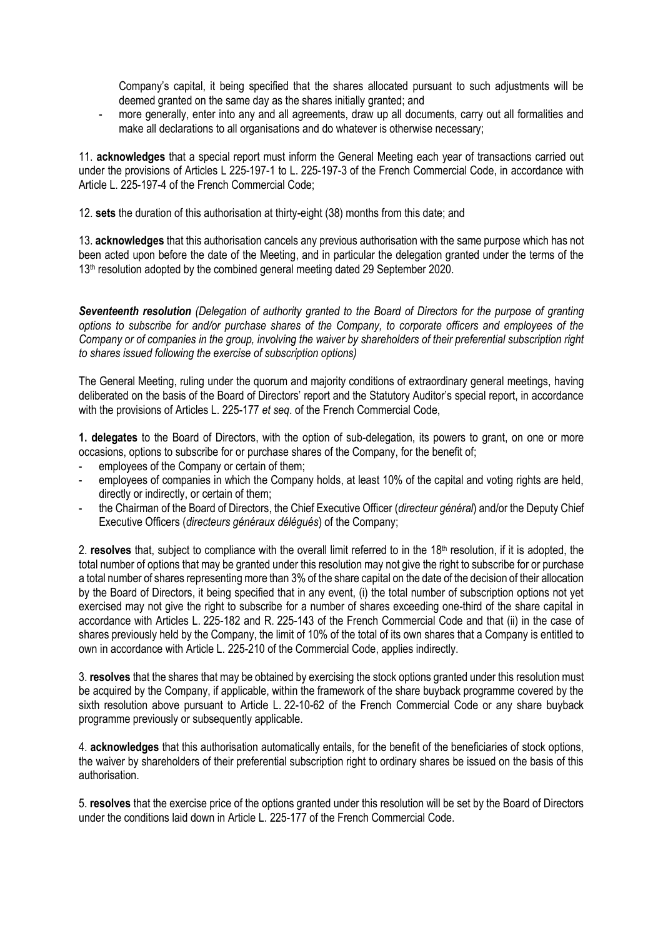Company's capital, it being specified that the shares allocated pursuant to such adjustments will be deemed granted on the same day as the shares initially granted; and

more generally, enter into any and all agreements, draw up all documents, carry out all formalities and make all declarations to all organisations and do whatever is otherwise necessary;

11. **acknowledges** that a special report must inform the General Meeting each year of transactions carried out under the provisions of Articles L 225-197-1 to L. 225-197-3 of the French Commercial Code, in accordance with Article L. 225-197-4 of the French Commercial Code;

12. **sets** the duration of this authorisation at thirty-eight (38) months from this date; and

13. **acknowledges** that this authorisation cancels any previous authorisation with the same purpose which has not been acted upon before the date of the Meeting, and in particular the delegation granted under the terms of the 13<sup>th</sup> resolution adopted by the combined general meeting dated 29 September 2020.

*Seventeenth resolution (Delegation of authority granted to the Board of Directors for the purpose of granting options to subscribe for and/or purchase shares of the Company, to corporate officers and employees of the Company or of companies in the group, involving the waiver by shareholders of their preferential subscription right to shares issued following the exercise of subscription options)*

The General Meeting, ruling under the quorum and majority conditions of extraordinary general meetings, having deliberated on the basis of the Board of Directors' report and the Statutory Auditor's special report, in accordance with the provisions of Articles L. 225-177 *et seq*. of the French Commercial Code,

**1. delegates** to the Board of Directors, with the option of sub-delegation, its powers to grant, on one or more occasions, options to subscribe for or purchase shares of the Company, for the benefit of;

- employees of the Company or certain of them:
- employees of companies in which the Company holds, at least 10% of the capital and voting rights are held, directly or indirectly, or certain of them;
- the Chairman of the Board of Directors, the Chief Executive Officer (*directeur général*) and/or the Deputy Chief Executive Officers (*directeurs généraux délégués*) of the Company;

2. **resolves** that, subject to compliance with the overall limit referred to in the 18th resolution, if it is adopted, the total number of options that may be granted under this resolution may not give the right to subscribe for or purchase a total number of shares representing more than 3% of the share capital on the date of the decision of their allocation by the Board of Directors, it being specified that in any event, (i) the total number of subscription options not yet exercised may not give the right to subscribe for a number of shares exceeding one-third of the share capital in accordance with Articles L. 225-182 and R. 225-143 of the French Commercial Code and that (ii) in the case of shares previously held by the Company, the limit of 10% of the total of its own shares that a Company is entitled to own in accordance with Article L. 225-210 of the Commercial Code, applies indirectly.

3. **resolves** that the shares that may be obtained by exercising the stock options granted under this resolution must be acquired by the Company, if applicable, within the framework of the share buyback programme covered by the sixth resolution above pursuant to Article L. 22-10-62 of the French Commercial Code or any share buyback programme previously or subsequently applicable.

4. **acknowledges** that this authorisation automatically entails, for the benefit of the beneficiaries of stock options, the waiver by shareholders of their preferential subscription right to ordinary shares be issued on the basis of this authorisation.

5. **resolves** that the exercise price of the options granted under this resolution will be set by the Board of Directors under the conditions laid down in Article L. 225-177 of the French Commercial Code.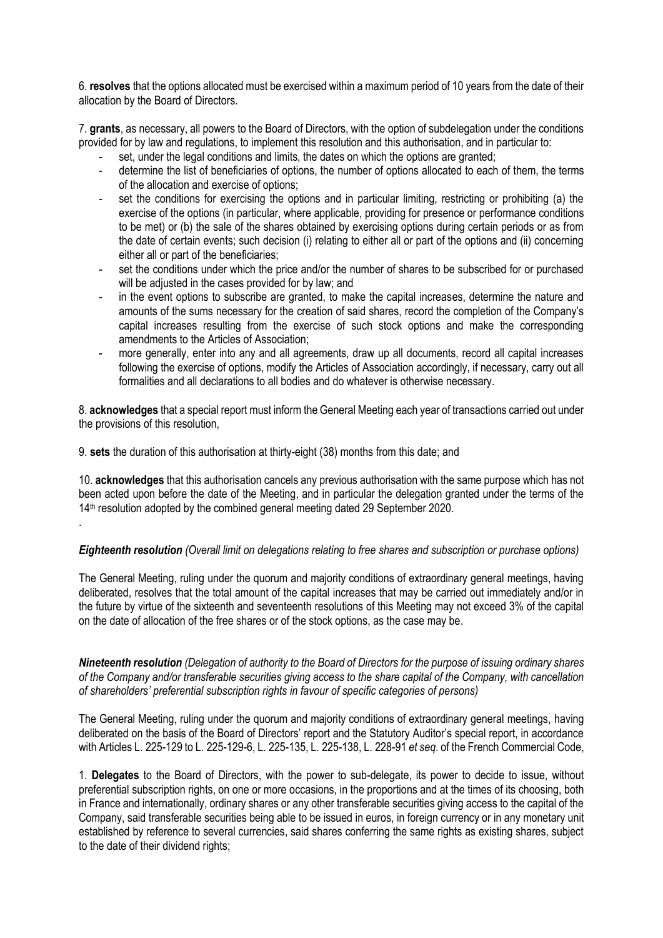6. **resolves** that the options allocated must be exercised within a maximum period of 10 years from the date of their allocation by the Board of Directors.

7. **grants**, as necessary, all powers to the Board of Directors, with the option of subdelegation under the conditions provided for by law and regulations, to implement this resolution and this authorisation, and in particular to:

- set, under the legal conditions and limits, the dates on which the options are granted;
- determine the list of beneficiaries of options, the number of options allocated to each of them, the terms of the allocation and exercise of options;
- set the conditions for exercising the options and in particular limiting, restricting or prohibiting (a) the exercise of the options (in particular, where applicable, providing for presence or performance conditions to be met) or (b) the sale of the shares obtained by exercising options during certain periods or as from the date of certain events; such decision (i) relating to either all or part of the options and (ii) concerning either all or part of the beneficiaries;
- set the conditions under which the price and/or the number of shares to be subscribed for or purchased will be adjusted in the cases provided for by law; and
- in the event options to subscribe are granted, to make the capital increases, determine the nature and amounts of the sums necessary for the creation of said shares, record the completion of the Company's capital increases resulting from the exercise of such stock options and make the corresponding amendments to the Articles of Association;
- more generally, enter into any and all agreements, draw up all documents, record all capital increases following the exercise of options, modify the Articles of Association accordingly, if necessary, carry out all formalities and all declarations to all bodies and do whatever is otherwise necessary.

8. **acknowledges** that a special report must inform the General Meeting each year of transactions carried out under the provisions of this resolution,

9. **sets** the duration of this authorisation at thirty-eight (38) months from this date; and

.

10. **acknowledges** that this authorisation cancels any previous authorisation with the same purpose which has not been acted upon before the date of the Meeting, and in particular the delegation granted under the terms of the 14<sup>th</sup> resolution adopted by the combined general meeting dated 29 September 2020.

*Eighteenth resolution (Overall limit on delegations relating to free shares and subscription or purchase options)*

The General Meeting, ruling under the quorum and majority conditions of extraordinary general meetings, having deliberated, resolves that the total amount of the capital increases that may be carried out immediately and/or in the future by virtue of the sixteenth and seventeenth resolutions of this Meeting may not exceed 3% of the capital on the date of allocation of the free shares or of the stock options, as the case may be.

*Nineteenth resolution (Delegation of authority to the Board of Directors for the purpose of issuing ordinary shares of the Company and/or transferable securities giving access to the share capital of the Company, with cancellation of shareholders' preferential subscription rights in favour of specific categories of persons)*

The General Meeting, ruling under the quorum and majority conditions of extraordinary general meetings, having deliberated on the basis of the Board of Directors' report and the Statutory Auditor's special report, in accordance with Articles L. 225-129 to L. 225-129-6, L. 225-135, L. 225-138, L. 228-91 *et seq*. of the French Commercial Code,

1. **Delegates** to the Board of Directors, with the power to sub-delegate, its power to decide to issue, without preferential subscription rights, on one or more occasions, in the proportions and at the times of its choosing, both in France and internationally, ordinary shares or any other transferable securities giving access to the capital of the Company, said transferable securities being able to be issued in euros, in foreign currency or in any monetary unit established by reference to several currencies, said shares conferring the same rights as existing shares, subject to the date of their dividend rights;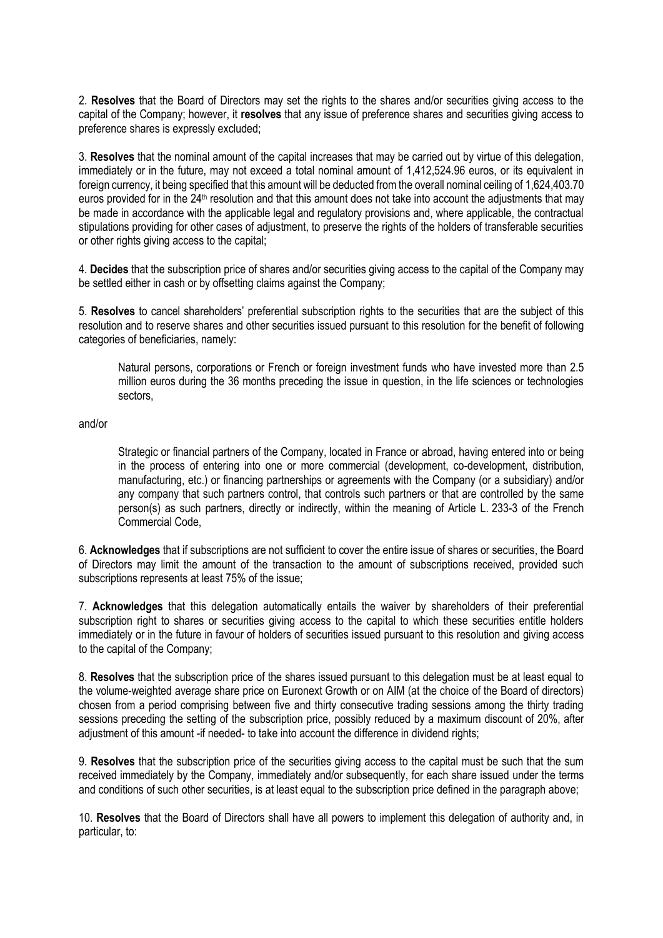2. **Resolves** that the Board of Directors may set the rights to the shares and/or securities giving access to the capital of the Company; however, it **resolves** that any issue of preference shares and securities giving access to preference shares is expressly excluded;

3. **Resolves** that the nominal amount of the capital increases that may be carried out by virtue of this delegation, immediately or in the future, may not exceed a total nominal amount of 1,412,524.96 euros, or its equivalent in foreign currency, it being specified that this amount will be deducted from the overall nominal ceiling of 1,624,403.70 euros provided for in the 24<sup>th</sup> resolution and that this amount does not take into account the adjustments that may be made in accordance with the applicable legal and regulatory provisions and, where applicable, the contractual stipulations providing for other cases of adjustment, to preserve the rights of the holders of transferable securities or other rights giving access to the capital:

4. **Decides** that the subscription price of shares and/or securities giving access to the capital of the Company may be settled either in cash or by offsetting claims against the Company;

5. **Resolves** to cancel shareholders' preferential subscription rights to the securities that are the subject of this resolution and to reserve shares and other securities issued pursuant to this resolution for the benefit of following categories of beneficiaries, namely:

Natural persons, corporations or French or foreign investment funds who have invested more than 2.5 million euros during the 36 months preceding the issue in question, in the life sciences or technologies sectors,

and/or

Strategic or financial partners of the Company, located in France or abroad, having entered into or being in the process of entering into one or more commercial (development, co-development, distribution, manufacturing, etc.) or financing partnerships or agreements with the Company (or a subsidiary) and/or any company that such partners control, that controls such partners or that are controlled by the same person(s) as such partners, directly or indirectly, within the meaning of Article L. 233-3 of the French Commercial Code,

6. **Acknowledges** that if subscriptions are not sufficient to cover the entire issue of shares or securities, the Board of Directors may limit the amount of the transaction to the amount of subscriptions received, provided such subscriptions represents at least 75% of the issue;

7. **Acknowledges** that this delegation automatically entails the waiver by shareholders of their preferential subscription right to shares or securities giving access to the capital to which these securities entitle holders immediately or in the future in favour of holders of securities issued pursuant to this resolution and giving access to the capital of the Company;

8. **Resolves** that the subscription price of the shares issued pursuant to this delegation must be at least equal to the volume-weighted average share price on Euronext Growth or on AIM (at the choice of the Board of directors) chosen from a period comprising between five and thirty consecutive trading sessions among the thirty trading sessions preceding the setting of the subscription price, possibly reduced by a maximum discount of 20%, after adjustment of this amount -if needed- to take into account the difference in dividend rights;

9. **Resolves** that the subscription price of the securities giving access to the capital must be such that the sum received immediately by the Company, immediately and/or subsequently, for each share issued under the terms and conditions of such other securities, is at least equal to the subscription price defined in the paragraph above;

10. **Resolves** that the Board of Directors shall have all powers to implement this delegation of authority and, in particular, to: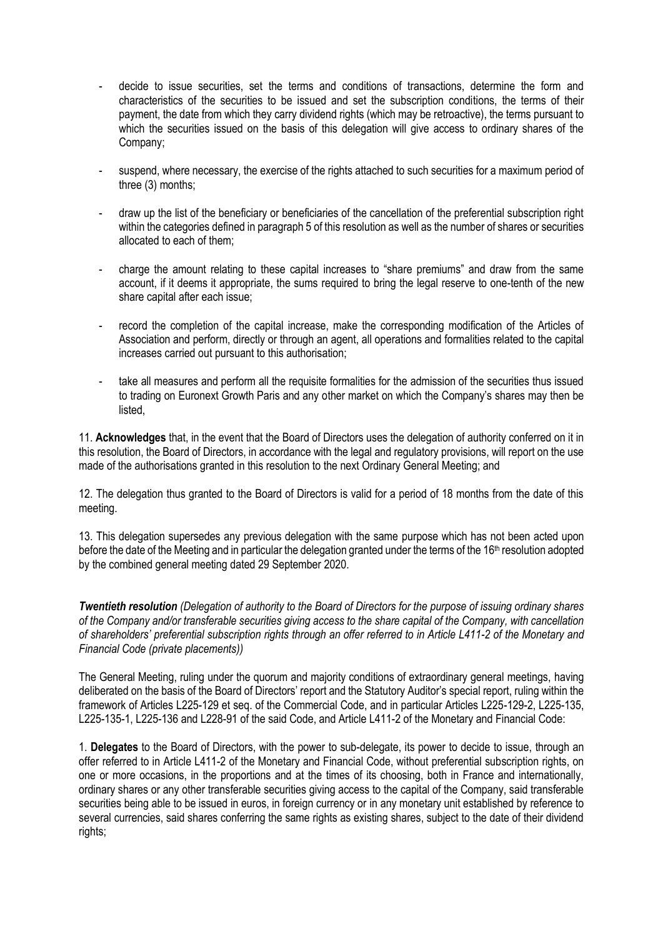- decide to issue securities, set the terms and conditions of transactions, determine the form and characteristics of the securities to be issued and set the subscription conditions, the terms of their payment, the date from which they carry dividend rights (which may be retroactive), the terms pursuant to which the securities issued on the basis of this delegation will give access to ordinary shares of the Company;
- suspend, where necessary, the exercise of the rights attached to such securities for a maximum period of three (3) months;
- draw up the list of the beneficiary or beneficiaries of the cancellation of the preferential subscription right within the categories defined in paragraph 5 of this resolution as well as the number of shares or securities allocated to each of them;
- charge the amount relating to these capital increases to "share premiums" and draw from the same account, if it deems it appropriate, the sums required to bring the legal reserve to one-tenth of the new share capital after each issue;
- record the completion of the capital increase, make the corresponding modification of the Articles of Association and perform, directly or through an agent, all operations and formalities related to the capital increases carried out pursuant to this authorisation;
- take all measures and perform all the requisite formalities for the admission of the securities thus issued to trading on Euronext Growth Paris and any other market on which the Company's shares may then be listed,

11. **Acknowledges** that, in the event that the Board of Directors uses the delegation of authority conferred on it in this resolution, the Board of Directors, in accordance with the legal and regulatory provisions, will report on the use made of the authorisations granted in this resolution to the next Ordinary General Meeting; and

12. The delegation thus granted to the Board of Directors is valid for a period of 18 months from the date of this meeting.

13. This delegation supersedes any previous delegation with the same purpose which has not been acted upon before the date of the Meeting and in particular the delegation granted under the terms of the 16th resolution adopted by the combined general meeting dated 29 September 2020.

*Twentieth resolution (Delegation of authority to the Board of Directors for the purpose of issuing ordinary shares of the Company and/or transferable securities giving access to the share capital of the Company, with cancellation of shareholders' preferential subscription rights through an offer referred to in Article L411-2 of the Monetary and Financial Code (private placements))*

The General Meeting, ruling under the quorum and majority conditions of extraordinary general meetings, having deliberated on the basis of the Board of Directors' report and the Statutory Auditor's special report, ruling within the framework of Articles L225-129 et seq. of the Commercial Code, and in particular Articles L225-129-2, L225-135, L225-135-1, L225-136 and L228-91 of the said Code, and Article L411-2 of the Monetary and Financial Code:

1. **Delegates** to the Board of Directors, with the power to sub-delegate, its power to decide to issue, through an offer referred to in Article L411-2 of the Monetary and Financial Code, without preferential subscription rights, on one or more occasions, in the proportions and at the times of its choosing, both in France and internationally, ordinary shares or any other transferable securities giving access to the capital of the Company, said transferable securities being able to be issued in euros, in foreign currency or in any monetary unit established by reference to several currencies, said shares conferring the same rights as existing shares, subject to the date of their dividend rights;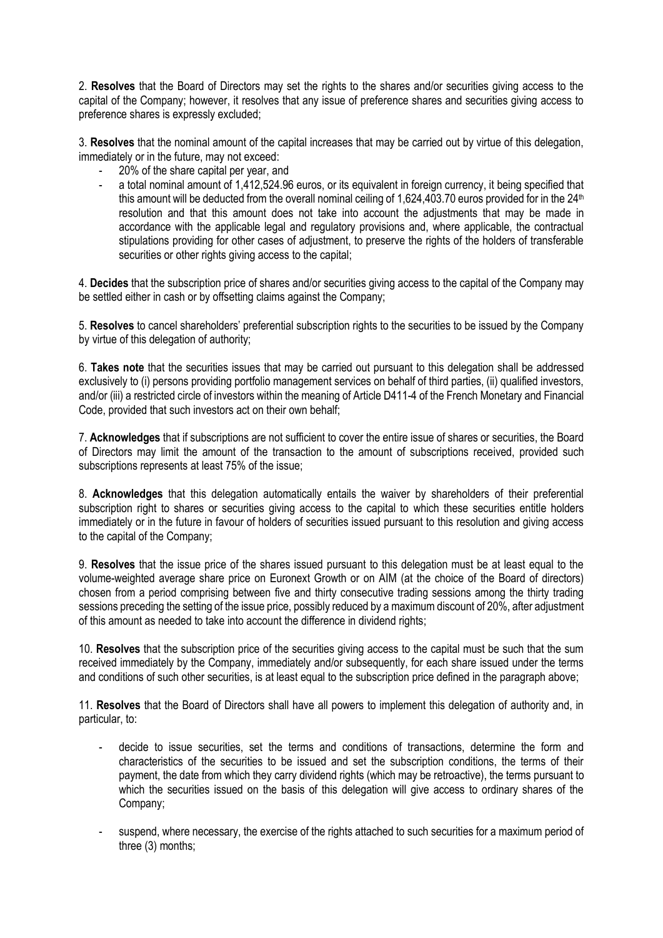2. **Resolves** that the Board of Directors may set the rights to the shares and/or securities giving access to the capital of the Company; however, it resolves that any issue of preference shares and securities giving access to preference shares is expressly excluded;

3. **Resolves** that the nominal amount of the capital increases that may be carried out by virtue of this delegation, immediately or in the future, may not exceed:

- 20% of the share capital per year, and
- a total nominal amount of 1,412,524.96 euros, or its equivalent in foreign currency, it being specified that this amount will be deducted from the overall nominal ceiling of 1,624,403.70 euros provided for in the 24<sup>th</sup> resolution and that this amount does not take into account the adjustments that may be made in accordance with the applicable legal and regulatory provisions and, where applicable, the contractual stipulations providing for other cases of adjustment, to preserve the rights of the holders of transferable securities or other rights giving access to the capital;

4. **Decides** that the subscription price of shares and/or securities giving access to the capital of the Company may be settled either in cash or by offsetting claims against the Company;

5. **Resolves** to cancel shareholders' preferential subscription rights to the securities to be issued by the Company by virtue of this delegation of authority;

6. **Takes note** that the securities issues that may be carried out pursuant to this delegation shall be addressed exclusively to (i) persons providing portfolio management services on behalf of third parties, (ii) qualified investors, and/or (iii) a restricted circle of investors within the meaning of Article D411-4 of the French Monetary and Financial Code, provided that such investors act on their own behalf;

7. **Acknowledges** that if subscriptions are not sufficient to cover the entire issue of shares or securities, the Board of Directors may limit the amount of the transaction to the amount of subscriptions received, provided such subscriptions represents at least 75% of the issue;

8. **Acknowledges** that this delegation automatically entails the waiver by shareholders of their preferential subscription right to shares or securities giving access to the capital to which these securities entitle holders immediately or in the future in favour of holders of securities issued pursuant to this resolution and giving access to the capital of the Company;

9. **Resolves** that the issue price of the shares issued pursuant to this delegation must be at least equal to the volume-weighted average share price on Euronext Growth or on AIM (at the choice of the Board of directors) chosen from a period comprising between five and thirty consecutive trading sessions among the thirty trading sessions preceding the setting of the issue price, possibly reduced by a maximum discount of 20%, after adjustment of this amount as needed to take into account the difference in dividend rights;

10. **Resolves** that the subscription price of the securities giving access to the capital must be such that the sum received immediately by the Company, immediately and/or subsequently, for each share issued under the terms and conditions of such other securities, is at least equal to the subscription price defined in the paragraph above;

11. **Resolves** that the Board of Directors shall have all powers to implement this delegation of authority and, in particular, to:

- decide to issue securities, set the terms and conditions of transactions, determine the form and characteristics of the securities to be issued and set the subscription conditions, the terms of their payment, the date from which they carry dividend rights (which may be retroactive), the terms pursuant to which the securities issued on the basis of this delegation will give access to ordinary shares of the Company;
- suspend, where necessary, the exercise of the rights attached to such securities for a maximum period of three (3) months;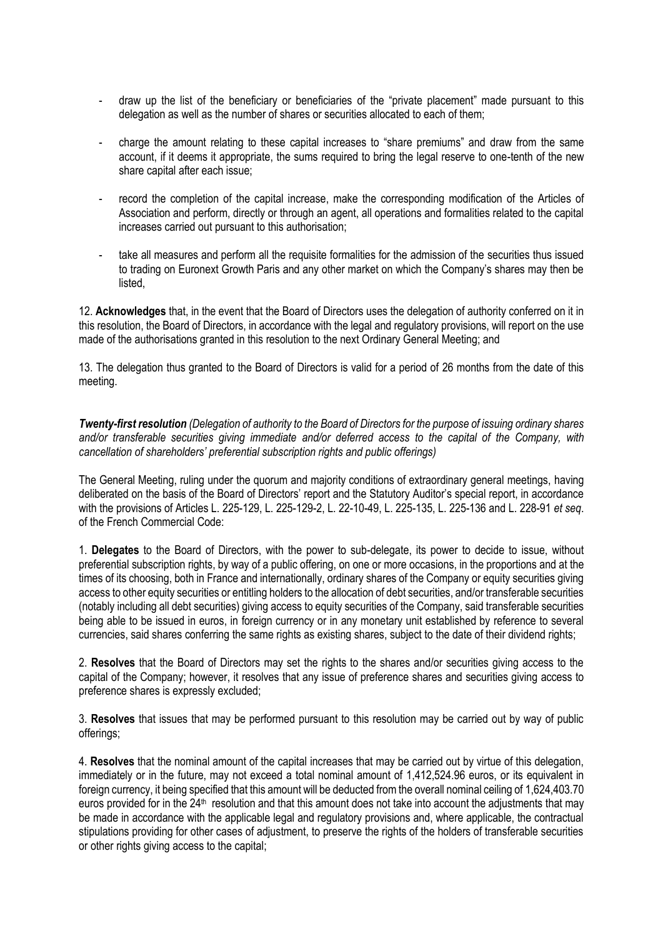- draw up the list of the beneficiary or beneficiaries of the "private placement" made pursuant to this delegation as well as the number of shares or securities allocated to each of them;
- charge the amount relating to these capital increases to "share premiums" and draw from the same account, if it deems it appropriate, the sums required to bring the legal reserve to one-tenth of the new share capital after each issue;
- record the completion of the capital increase, make the corresponding modification of the Articles of Association and perform, directly or through an agent, all operations and formalities related to the capital increases carried out pursuant to this authorisation;
- take all measures and perform all the requisite formalities for the admission of the securities thus issued to trading on Euronext Growth Paris and any other market on which the Company's shares may then be listed,

12. **Acknowledges** that, in the event that the Board of Directors uses the delegation of authority conferred on it in this resolution, the Board of Directors, in accordance with the legal and regulatory provisions, will report on the use made of the authorisations granted in this resolution to the next Ordinary General Meeting; and

13. The delegation thus granted to the Board of Directors is valid for a period of 26 months from the date of this meeting.

*Twenty-first resolution (Delegation of authority to the Board of Directors for the purpose of issuing ordinary shares and/or transferable securities giving immediate and/or deferred access to the capital of the Company, with cancellation of shareholders' preferential subscription rights and public offerings)*

The General Meeting, ruling under the quorum and majority conditions of extraordinary general meetings, having deliberated on the basis of the Board of Directors' report and the Statutory Auditor's special report, in accordance with the provisions of Articles L. 225-129, L. 225-129-2, L. 22-10-49, L. 225-135, L. 225-136 and L. 228-91 *et seq*. of the French Commercial Code:

1. **Delegates** to the Board of Directors, with the power to sub-delegate, its power to decide to issue, without preferential subscription rights, by way of a public offering, on one or more occasions, in the proportions and at the times of its choosing, both in France and internationally, ordinary shares of the Company or equity securities giving access to other equity securities or entitling holders to the allocation of debt securities, and/or transferable securities (notably including all debt securities) giving access to equity securities of the Company, said transferable securities being able to be issued in euros, in foreign currency or in any monetary unit established by reference to several currencies, said shares conferring the same rights as existing shares, subject to the date of their dividend rights;

2. **Resolves** that the Board of Directors may set the rights to the shares and/or securities giving access to the capital of the Company; however, it resolves that any issue of preference shares and securities giving access to preference shares is expressly excluded;

3. **Resolves** that issues that may be performed pursuant to this resolution may be carried out by way of public offerings;

4. **Resolves** that the nominal amount of the capital increases that may be carried out by virtue of this delegation, immediately or in the future, may not exceed a total nominal amount of 1,412,524.96 euros, or its equivalent in foreign currency, it being specified that this amount will be deducted from the overall nominal ceiling of 1,624,403.70 euros provided for in the  $24<sup>th</sup>$  resolution and that this amount does not take into account the adjustments that may be made in accordance with the applicable legal and regulatory provisions and, where applicable, the contractual stipulations providing for other cases of adjustment, to preserve the rights of the holders of transferable securities or other rights giving access to the capital;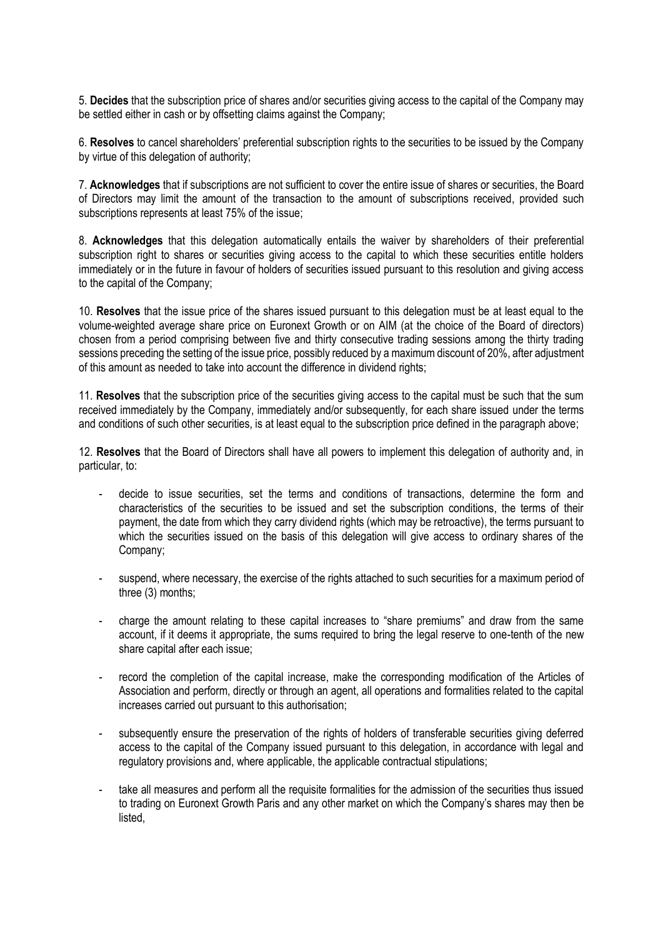5. **Decides** that the subscription price of shares and/or securities giving access to the capital of the Company may be settled either in cash or by offsetting claims against the Company;

6. **Resolves** to cancel shareholders' preferential subscription rights to the securities to be issued by the Company by virtue of this delegation of authority;

7. **Acknowledges** that if subscriptions are not sufficient to cover the entire issue of shares or securities, the Board of Directors may limit the amount of the transaction to the amount of subscriptions received, provided such subscriptions represents at least 75% of the issue;

8. **Acknowledges** that this delegation automatically entails the waiver by shareholders of their preferential subscription right to shares or securities giving access to the capital to which these securities entitle holders immediately or in the future in favour of holders of securities issued pursuant to this resolution and giving access to the capital of the Company;

10. **Resolves** that the issue price of the shares issued pursuant to this delegation must be at least equal to the volume-weighted average share price on Euronext Growth or on AIM (at the choice of the Board of directors) chosen from a period comprising between five and thirty consecutive trading sessions among the thirty trading sessions preceding the setting of the issue price, possibly reduced by a maximum discount of 20%, after adjustment of this amount as needed to take into account the difference in dividend rights;

11. **Resolves** that the subscription price of the securities giving access to the capital must be such that the sum received immediately by the Company, immediately and/or subsequently, for each share issued under the terms and conditions of such other securities, is at least equal to the subscription price defined in the paragraph above;

12. **Resolves** that the Board of Directors shall have all powers to implement this delegation of authority and, in particular, to:

- decide to issue securities, set the terms and conditions of transactions, determine the form and characteristics of the securities to be issued and set the subscription conditions, the terms of their payment, the date from which they carry dividend rights (which may be retroactive), the terms pursuant to which the securities issued on the basis of this delegation will give access to ordinary shares of the Company;
- suspend, where necessary, the exercise of the rights attached to such securities for a maximum period of three (3) months;
- charge the amount relating to these capital increases to "share premiums" and draw from the same account, if it deems it appropriate, the sums required to bring the legal reserve to one-tenth of the new share capital after each issue;
- record the completion of the capital increase, make the corresponding modification of the Articles of Association and perform, directly or through an agent, all operations and formalities related to the capital increases carried out pursuant to this authorisation;
- subsequently ensure the preservation of the rights of holders of transferable securities giving deferred access to the capital of the Company issued pursuant to this delegation, in accordance with legal and regulatory provisions and, where applicable, the applicable contractual stipulations;
- take all measures and perform all the requisite formalities for the admission of the securities thus issued to trading on Euronext Growth Paris and any other market on which the Company's shares may then be listed,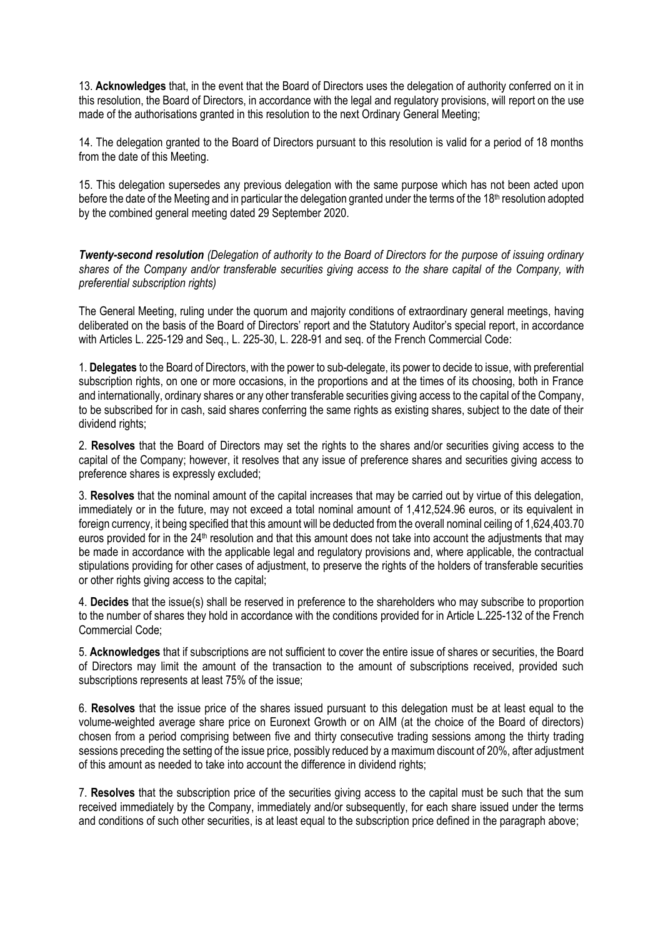13. **Acknowledges** that, in the event that the Board of Directors uses the delegation of authority conferred on it in this resolution, the Board of Directors, in accordance with the legal and regulatory provisions, will report on the use made of the authorisations granted in this resolution to the next Ordinary General Meeting;

14. The delegation granted to the Board of Directors pursuant to this resolution is valid for a period of 18 months from the date of this Meeting.

15. This delegation supersedes any previous delegation with the same purpose which has not been acted upon before the date of the Meeting and in particular the delegation granted under the terms of the 18<sup>th</sup> resolution adopted by the combined general meeting dated 29 September 2020.

*Twenty-second resolution (Delegation of authority to the Board of Directors for the purpose of issuing ordinary shares of the Company and/or transferable securities giving access to the share capital of the Company, with preferential subscription rights)* 

The General Meeting, ruling under the quorum and majority conditions of extraordinary general meetings, having deliberated on the basis of the Board of Directors' report and the Statutory Auditor's special report, in accordance with Articles L. 225-129 and Seq., L. 225-30, L. 228-91 and seq. of the French Commercial Code:

1. **Delegates** to the Board of Directors, with the power to sub-delegate, its power to decide to issue, with preferential subscription rights, on one or more occasions, in the proportions and at the times of its choosing, both in France and internationally, ordinary shares or any other transferable securities giving access to the capital of the Company, to be subscribed for in cash, said shares conferring the same rights as existing shares, subject to the date of their dividend rights;

2. **Resolves** that the Board of Directors may set the rights to the shares and/or securities giving access to the capital of the Company; however, it resolves that any issue of preference shares and securities giving access to preference shares is expressly excluded;

3. **Resolves** that the nominal amount of the capital increases that may be carried out by virtue of this delegation, immediately or in the future, may not exceed a total nominal amount of 1,412,524.96 euros, or its equivalent in foreign currency, it being specified that this amount will be deducted from the overall nominal ceiling of 1,624,403.70 euros provided for in the 24<sup>th</sup> resolution and that this amount does not take into account the adjustments that may be made in accordance with the applicable legal and regulatory provisions and, where applicable, the contractual stipulations providing for other cases of adjustment, to preserve the rights of the holders of transferable securities or other rights giving access to the capital;

4. **Decides** that the issue(s) shall be reserved in preference to the shareholders who may subscribe to proportion to the number of shares they hold in accordance with the conditions provided for in Article L.225-132 of the French Commercial Code;

5. **Acknowledges** that if subscriptions are not sufficient to cover the entire issue of shares or securities, the Board of Directors may limit the amount of the transaction to the amount of subscriptions received, provided such subscriptions represents at least 75% of the issue;

6. **Resolves** that the issue price of the shares issued pursuant to this delegation must be at least equal to the volume-weighted average share price on Euronext Growth or on AIM (at the choice of the Board of directors) chosen from a period comprising between five and thirty consecutive trading sessions among the thirty trading sessions preceding the setting of the issue price, possibly reduced by a maximum discount of 20%, after adjustment of this amount as needed to take into account the difference in dividend rights;

7. **Resolves** that the subscription price of the securities giving access to the capital must be such that the sum received immediately by the Company, immediately and/or subsequently, for each share issued under the terms and conditions of such other securities, is at least equal to the subscription price defined in the paragraph above;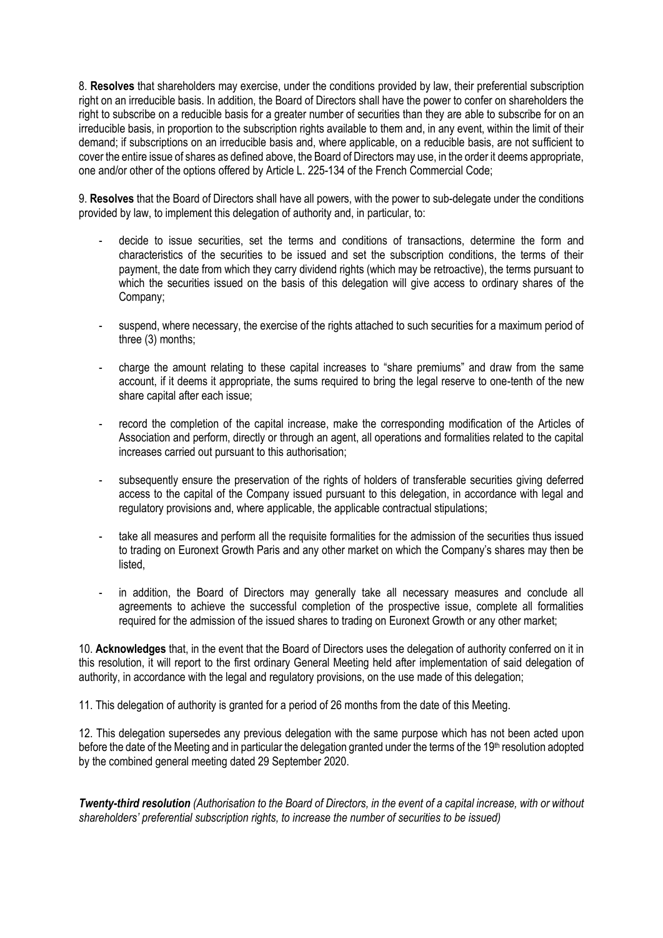8. **Resolves** that shareholders may exercise, under the conditions provided by law, their preferential subscription right on an irreducible basis. In addition, the Board of Directors shall have the power to confer on shareholders the right to subscribe on a reducible basis for a greater number of securities than they are able to subscribe for on an irreducible basis, in proportion to the subscription rights available to them and, in any event, within the limit of their demand; if subscriptions on an irreducible basis and, where applicable, on a reducible basis, are not sufficient to cover the entire issue of shares as defined above, the Board of Directors may use, in the order it deems appropriate, one and/or other of the options offered by Article L. 225-134 of the French Commercial Code;

9. **Resolves** that the Board of Directors shall have all powers, with the power to sub-delegate under the conditions provided by law, to implement this delegation of authority and, in particular, to:

- decide to issue securities, set the terms and conditions of transactions, determine the form and characteristics of the securities to be issued and set the subscription conditions, the terms of their payment, the date from which they carry dividend rights (which may be retroactive), the terms pursuant to which the securities issued on the basis of this delegation will give access to ordinary shares of the Company;
- suspend, where necessary, the exercise of the rights attached to such securities for a maximum period of three (3) months;
- charge the amount relating to these capital increases to "share premiums" and draw from the same account, if it deems it appropriate, the sums required to bring the legal reserve to one-tenth of the new share capital after each issue;
- record the completion of the capital increase, make the corresponding modification of the Articles of Association and perform, directly or through an agent, all operations and formalities related to the capital increases carried out pursuant to this authorisation;
- subsequently ensure the preservation of the rights of holders of transferable securities giving deferred access to the capital of the Company issued pursuant to this delegation, in accordance with legal and regulatory provisions and, where applicable, the applicable contractual stipulations;
- take all measures and perform all the requisite formalities for the admission of the securities thus issued to trading on Euronext Growth Paris and any other market on which the Company's shares may then be listed,
- in addition, the Board of Directors may generally take all necessary measures and conclude all agreements to achieve the successful completion of the prospective issue, complete all formalities required for the admission of the issued shares to trading on Euronext Growth or any other market;

10. **Acknowledges** that, in the event that the Board of Directors uses the delegation of authority conferred on it in this resolution, it will report to the first ordinary General Meeting held after implementation of said delegation of authority, in accordance with the legal and regulatory provisions, on the use made of this delegation;

11. This delegation of authority is granted for a period of 26 months from the date of this Meeting.

12. This delegation supersedes any previous delegation with the same purpose which has not been acted upon before the date of the Meeting and in particular the delegation granted under the terms of the 19<sup>th</sup> resolution adopted by the combined general meeting dated 29 September 2020.

*Twenty-third resolution (Authorisation to the Board of Directors, in the event of a capital increase, with or without shareholders' preferential subscription rights, to increase the number of securities to be issued)*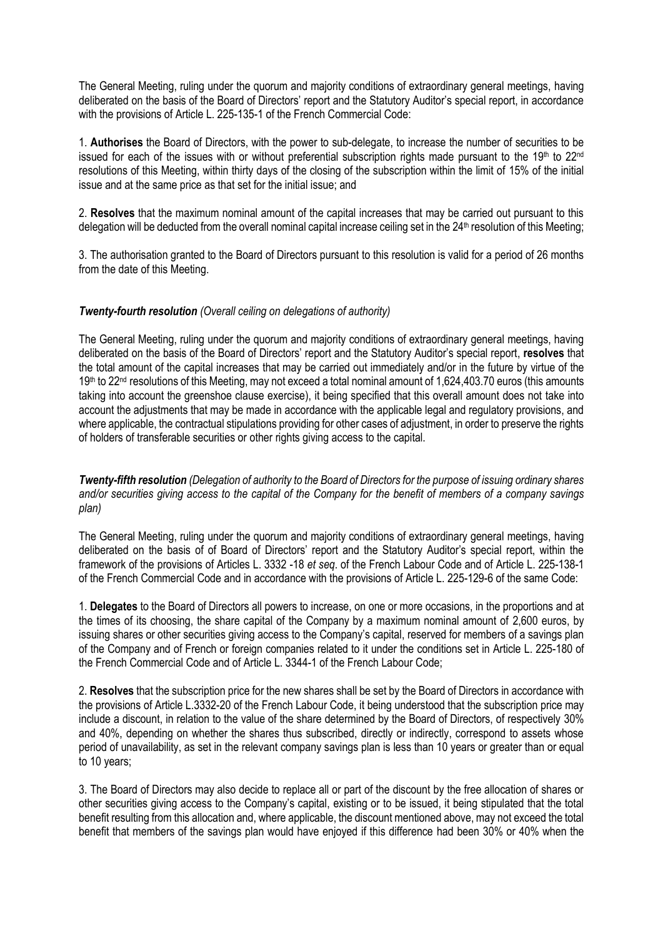The General Meeting, ruling under the quorum and majority conditions of extraordinary general meetings, having deliberated on the basis of the Board of Directors' report and the Statutory Auditor's special report, in accordance with the provisions of Article L. 225-135-1 of the French Commercial Code:

1. **Authorises** the Board of Directors, with the power to sub-delegate, to increase the number of securities to be issued for each of the issues with or without preferential subscription rights made pursuant to the 19<sup>th</sup> to 22<sup>nd</sup> resolutions of this Meeting, within thirty days of the closing of the subscription within the limit of 15% of the initial issue and at the same price as that set for the initial issue; and

2. **Resolves** that the maximum nominal amount of the capital increases that may be carried out pursuant to this delegation will be deducted from the overall nominal capital increase ceiling set in the 24<sup>th</sup> resolution of this Meeting;

3. The authorisation granted to the Board of Directors pursuant to this resolution is valid for a period of 26 months from the date of this Meeting.

# *Twenty-fourth resolution (Overall ceiling on delegations of authority)*

The General Meeting, ruling under the quorum and majority conditions of extraordinary general meetings, having deliberated on the basis of the Board of Directors' report and the Statutory Auditor's special report, **resolves** that the total amount of the capital increases that may be carried out immediately and/or in the future by virtue of the 19<sup>th</sup> to 22<sup>nd</sup> resolutions of this Meeting, may not exceed a total nominal amount of 1,624,403.70 euros (this amounts taking into account the greenshoe clause exercise), it being specified that this overall amount does not take into account the adjustments that may be made in accordance with the applicable legal and regulatory provisions, and where applicable, the contractual stipulations providing for other cases of adjustment, in order to preserve the rights of holders of transferable securities or other rights giving access to the capital.

*Twenty-fifth resolution (Delegation of authority to the Board of Directors for the purpose of issuing ordinary shares and/or securities giving access to the capital of the Company for the benefit of members of a company savings plan)*

The General Meeting, ruling under the quorum and majority conditions of extraordinary general meetings, having deliberated on the basis of of Board of Directors' report and the Statutory Auditor's special report, within the framework of the provisions of Articles L. 3332 -18 *et seq*. of the French Labour Code and of Article L. 225-138-1 of the French Commercial Code and in accordance with the provisions of Article L. 225-129-6 of the same Code:

1. **Delegates** to the Board of Directors all powers to increase, on one or more occasions, in the proportions and at the times of its choosing, the share capital of the Company by a maximum nominal amount of 2,600 euros, by issuing shares or other securities giving access to the Company's capital, reserved for members of a savings plan of the Company and of French or foreign companies related to it under the conditions set in Article L. 225-180 of the French Commercial Code and of Article L. 3344-1 of the French Labour Code;

2. **Resolves** that the subscription price for the new shares shall be set by the Board of Directors in accordance with the provisions of Article L.3332-20 of the French Labour Code, it being understood that the subscription price may include a discount, in relation to the value of the share determined by the Board of Directors, of respectively 30% and 40%, depending on whether the shares thus subscribed, directly or indirectly, correspond to assets whose period of unavailability, as set in the relevant company savings plan is less than 10 years or greater than or equal to 10 years;

3. The Board of Directors may also decide to replace all or part of the discount by the free allocation of shares or other securities giving access to the Company's capital, existing or to be issued, it being stipulated that the total benefit resulting from this allocation and, where applicable, the discount mentioned above, may not exceed the total benefit that members of the savings plan would have enjoyed if this difference had been 30% or 40% when the